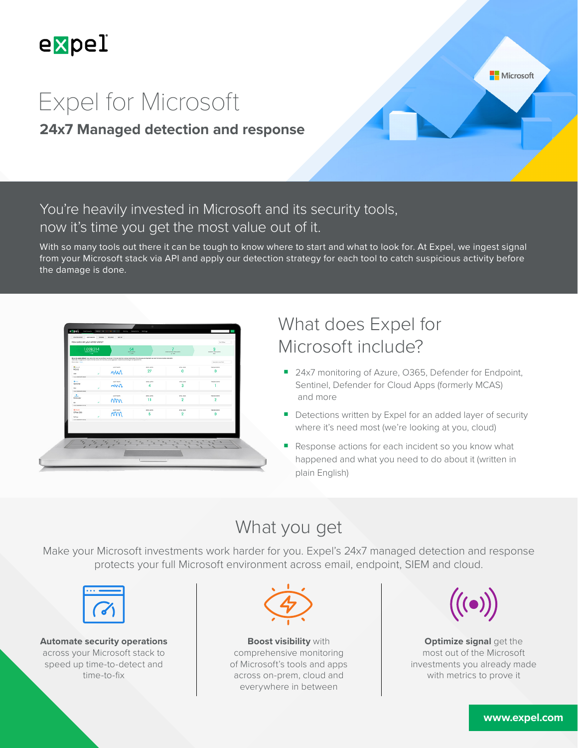

Microsoft

# Expel for Microsoft

### **24x7 Managed detection and response**

### You're heavily invested in Microsoft and its security tools, now it's time you get the most value out of it.

With so many tools out there it can be tough to know where to start and what to look for. At Expel, we ingest signal from your Microsoft stack via API and apply our detection strategy for each tool to catch suspicious activity before the damage is done.

| $-10$                                                                                     | 1,069,314<br>64<br><b>GPR AIR'S</b><br>$\alpha$ and<br>We as to patien affected four and in the hour many effects that are of the first and who internal content than the amount who day are not the amount of the security and the security of the term<br>Addressly memphers and rookers from leaf access other than also be an againstice created note and hydrog are not representatives. |                                                                                                   | <b>MONTHLOOM CATHERING</b><br>401                                                                    |                                                      |
|-------------------------------------------------------------------------------------------|-----------------------------------------------------------------------------------------------------------------------------------------------------------------------------------------------------------------------------------------------------------------------------------------------------------------------------------------------------------------------------------------------|---------------------------------------------------------------------------------------------------|------------------------------------------------------------------------------------------------------|------------------------------------------------------|
| <b>Group and I Tours</b><br><b>Report</b><br>MOAS<br><b>CASE</b><br><b>Decade aftered</b> | AIRTHING<br><b>MM</b>                                                                                                                                                                                                                                                                                                                                                                         | onum<br>27                                                                                        | <b>After sheet</b><br>٥                                                                              | <b>Fort anni (not fixe)</b><br><b>TARLACOON</b><br>٥ |
| $2 - 1$<br>Sentinei<br>$\sim$<br><b>INVERSIONAL</b>                                       | auto humi<br>mwn                                                                                                                                                                                                                                                                                                                                                                              | <b>GPEARS</b>                                                                                     | <b>What show</b><br>з                                                                                | Test and duty's                                      |
| 20<br>Defender<br>$\sim$<br><b>Insurance of the A</b>                                     | A/M PaPK<br>NW                                                                                                                                                                                                                                                                                                                                                                                | ore.up/s<br>11                                                                                    | <b>BOW USES</b><br>2                                                                                 | Translated Automa<br>$\overline{2}$                  |
| <b>GONAMI</b><br>Office 365<br><b>Tech are</b><br><b>DECEMBER 1979</b>                    | ART FATE<br>mm                                                                                                                                                                                                                                                                                                                                                                                | oreans<br>5                                                                                       | <b>Brita stern</b><br>$\overline{2}$                                                                 | TWO AIR DURING<br>٥                                  |
|                                                                                           |                                                                                                                                                                                                                                                                                                                                                                                               |                                                                                                   |                                                                                                      |                                                      |
|                                                                                           | $\overline{r_{n}}\qquad \overline{r_{n}}\qquad \overline{r_{n}}\qquad \overline{r_{n}}\qquad \overline{r_{n}}\qquad \overline{r_{n}}\qquad \overline{r_{n}}$                                                                                                                                                                                                                                  | $\overline{\mathbb{R}^n_n}$<br>$\overline{\mathbf{u}}$<br>$\hat{\mathcal{A}}_{\mathbf{Q}_p}$<br>w | $\overline{\phantom{a}}$<br>$\overline{\phantom{a}}$<br>$\overline{\phantom{a}}$<br>n and a<br>$\pi$ | $\overline{\phantom{a}}$<br>$\overline{\phantom{a}}$ |

## What does Expel for Microsoft include?

- 24x7 monitoring of Azure, O365, Defender for Endpoint, Sentinel, Defender for Cloud Apps (formerly MCAS) and more
- Detections written by Expel for an added layer of security where it's need most (we're looking at you, cloud)
- Response actions for each incident so you know what happened and what you need to do about it (written in plain English)

## What you get

Make your Microsoft investments work harder for you. Expel's 24x7 managed detection and response protects your full Microsoft environment across email, endpoint, SIEM and cloud.



**Automate security operations**  across your Microsoft stack to speed up time-to-detect and time-to-fix



**Boost visibility** with comprehensive monitoring of Microsoft's tools and apps across on-prem, cloud and everywhere in between



**Optimize signal get the** most out of the Microsoft investments you already made with metrics to prove it

#### **[www.expel.com](https://expel.com/)**